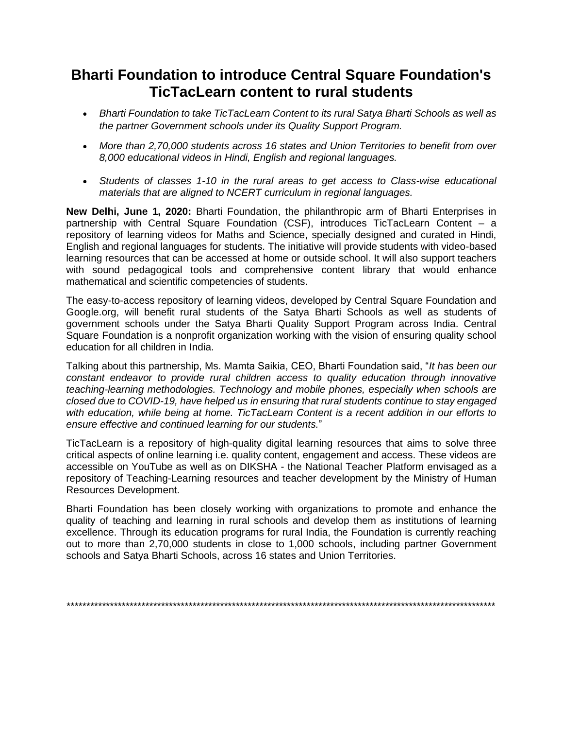## **Bharti Foundation to introduce Central Square Foundation's TicTacLearn content to rural students**

- *Bharti Foundation to take TicTacLearn Content to its rural Satya Bharti Schools as well as the partner Government schools under its Quality Support Program.*
- *More than 2,70,000 students across 16 states and Union Territories to benefit from over 8,000 educational videos in Hindi, English and regional languages.*
- *Students of classes 1-10 in the rural areas to get access to Class-wise educational materials that are aligned to NCERT curriculum in regional languages.*

**New Delhi, June 1, 2020:** Bharti Foundation, the philanthropic arm of Bharti Enterprises in partnership with Central Square Foundation (CSF), introduces TicTacLearn Content – a repository of learning videos for Maths and Science, specially designed and curated in Hindi, English and regional languages for students. The initiative will provide students with video-based learning resources that can be accessed at home or outside school. It will also support teachers with sound pedagogical tools and comprehensive content library that would enhance mathematical and scientific competencies of students.

The easy-to-access repository of learning videos, developed by Central Square Foundation and Google.org, will benefit rural students of the Satya Bharti Schools as well as students of government schools under the Satya Bharti Quality Support Program across India. Central Square Foundation is a nonprofit organization working with the vision of ensuring quality school education for all children in India.

Talking about this partnership, Ms. Mamta Saikia, CEO, Bharti Foundation said, "*It has been our constant endeavor to provide rural children access to quality education through innovative teaching-learning methodologies. Technology and mobile phones, especially when schools are closed due to COVID-19, have helped us in ensuring that rural students continue to stay engaged with education, while being at home. TicTacLearn Content is a recent addition in our efforts to ensure effective and continued learning for our students.*"

TicTacLearn is a repository of high-quality digital learning resources that aims to solve three critical aspects of online learning i.e. quality content, engagement and access. These videos are accessible on YouTube as well as on DIKSHA - the National Teacher Platform envisaged as a repository of Teaching-Learning resources and teacher development by the Ministry of Human Resources Development.

Bharti Foundation has been closely working with organizations to promote and enhance the quality of teaching and learning in rural schools and develop them as institutions of learning excellence. Through its education programs for rural India, the Foundation is currently reaching out to more than 2,70,000 students in close to 1,000 schools, including partner Government schools and Satya Bharti Schools, across 16 states and Union Territories.

*\*\*\*\*\*\*\*\*\*\*\*\*\*\*\*\*\*\*\*\*\*\*\*\*\*\*\*\*\*\*\*\*\*\*\*\*\*\*\*\*\*\*\*\*\*\*\*\*\*\*\*\*\*\*\*\*\*\*\*\*\*\*\*\*\*\*\*\*\*\*\*\*\*\*\*\*\*\*\*\*\*\*\*\*\*\*\*\*\*\*\*\*\*\*\*\*\*\*\*\*\*\*\*\*\*\*\*\*\**